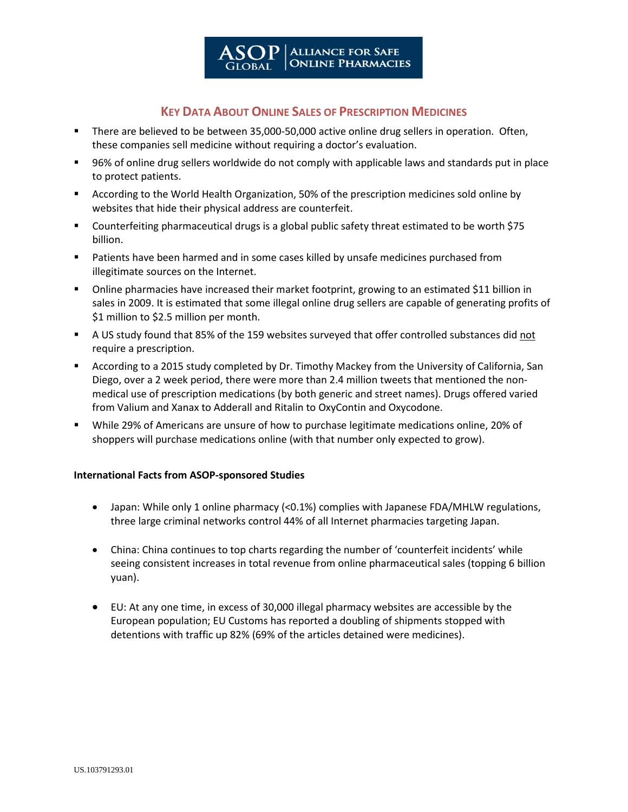## **KEY DATA ABOUT ONLINE SALES OF PRESCRIPTION MEDICINES**

- There are believed to be between 35,000-50,000 active online drug sellers in operation. Often, these companies sell medicine without requiring a doctor's evaluation.
- 96% of online drug sellers worldwide do not comply with applicable laws and standards put in place to protect patients.
- According to the World Health Organization, 50% of the prescription medicines sold online by websites that hide their physical address are counterfeit.
- Counterfeiting pharmaceutical drugs is a global public safety threat estimated to be worth \$75 billion.
- **Patients have been harmed and in some cases killed by unsafe medicines purchased from** illegitimate sources on the Internet.
- Online pharmacies have increased their market footprint, growing to an estimated \$11 billion in sales in 2009. It is estimated that some illegal online drug sellers are capable of generating profits of \$1 million to \$2.5 million per month.
- A US study found that 85% of the 159 websites surveyed that offer controlled substances did not require a prescription.
- According to a 2015 study completed by Dr. Timothy Mackey from the University of California, San Diego, over a 2 week period, there were more than 2.4 million tweets that mentioned the nonmedical use of prescription medications (by both generic and street names). Drugs offered varied from Valium and Xanax to Adderall and Ritalin to OxyContin and Oxycodone.
- While 29% of Americans are unsure of how to purchase legitimate medications online, 20% of shoppers will purchase medications online (with that number only expected to grow).

## **International Facts from ASOP-sponsored Studies**

- Japan: While only 1 online pharmacy (<0.1%) complies with Japanese FDA/MHLW regulations, three large criminal networks control 44% of all Internet pharmacies targeting Japan.
- China: China continues to top charts regarding the number of 'counterfeit incidents' while seeing consistent increases in total revenue from online pharmaceutical sales (topping 6 billion yuan).
- EU: At any one time, in excess of 30,000 illegal pharmacy websites are accessible by the European population; EU Customs has reported a doubling of shipments stopped with detentions with traffic up 82% (69% of the articles detained were medicines).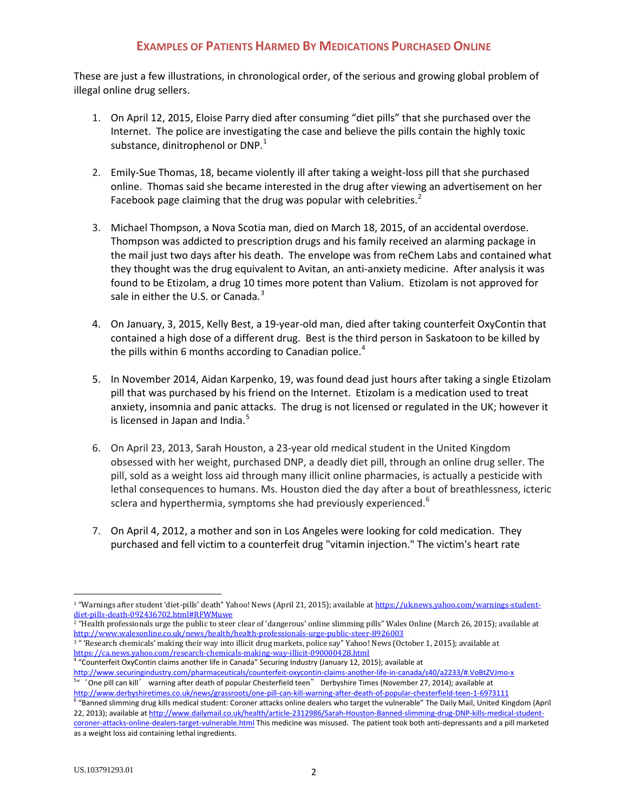## **EXAMPLES OF PATIENTS HARMED BY MEDICATIONS PURCHASED ONLINE**

These are just a few illustrations, in chronological order, of the serious and growing global problem of illegal online drug sellers.

- 1. On April 12, 2015, Eloise Parry died after consuming "diet pills" that she purchased over the Internet. The police are investigating the case and believe the pills contain the highly toxic substance, dinitrophenol or  $DNP<sup>1</sup>$  $DNP<sup>1</sup>$  $DNP<sup>1</sup>$
- 2. Emily-Sue Thomas, 18, became violently ill after taking a weight-loss pill that she purchased online. Thomas said she became interested in the drug after viewing an advertisement on her Facebook page claiming that the drug was popular with celebrities. $<sup>2</sup>$  $<sup>2</sup>$  $<sup>2</sup>$ </sup>
- 3. Michael Thompson, a Nova Scotia man, died on March 18, 2015, of an accidental overdose. Thompson was addicted to prescription drugs and his family received an alarming package in the mail just two days after his death. The envelope was from reChem Labs and contained what they thought was the drug equivalent to Avitan, an anti-anxiety medicine. After analysis it was found to be Etizolam, a drug 10 times more potent than Valium. Etizolam is not approved for sale in either the U.S. or Canada. $3$
- 4. On January, 3, 2015, Kelly Best, a 19-year-old man, died after taking counterfeit OxyContin that contained a high dose of a different drug. Best is the third person in Saskatoon to be killed by the pills within 6 months according to Canadian police. $4$
- 5. In November 2014, Aidan Karpenko, 19, was found dead just hours after taking a single Etizolam pill that was purchased by his friend on the Internet. Etizolam is a medication used to treat anxiety, insomnia and panic attacks. The drug is not licensed or regulated in the UK; however it is licensed in Japan and India.<sup>[5](#page-1-4)</sup>
- 6. On April 23, 2013, Sarah Houston, a 23-year old medical student in the United Kingdom obsessed with her weight, purchased DNP, a deadly diet pill, through an online drug seller. The pill, sold as a weight loss aid through many illicit online pharmacies, is actually a pesticide with lethal consequences to humans. Ms. Houston died the day after a bout of breathlessness, icteric sclera and hyperthermia, symptoms she had previously experienced.<sup>[6](#page-1-5)</sup>
- 7. On April 4, 2012, a mother and son in Los Angeles were looking for cold medication. They purchased and fell victim to a counterfeit drug "vitamin injection." The victim's heart rate

<span id="page-1-1"></span><sup>2</sup> "Health professionals urge the public to steer clear of 'dangerous' online slimming pills" Wales Online (March 26, 2015); available at <http://www.walesonline.co.uk/news/health/health-professionals-urge-public-steer-8926003>

<span id="page-1-2"></span> $3$  " 'Research chemicals' making their way into illicit drug markets, police say" Yahoo! News (October 1, 2015); available at https://ca.news.vahoo.com/research-chemicals-making-way-illicit-090000428.html

<span id="page-1-3"></span> $\frac{4}{3}$  "Counterfeit OxyContin claims another life in Canada" Securing Industry (January 12, 2015); available at <http://www.securingindustry.com/pharmaceuticals/counterfeit-oxycontin-claims-another-life-in-canada/s40/a2233/#.VoBtZVJmo-x> <sup>5</sup>" 'One pill can kill' warning after death of popular Chesterfield teen" Derbyshire Times (November 27, 2014); available at

<span id="page-1-0"></span><sup>&</sup>lt;sup>1</sup> "Warnings after student 'diet-pills' death" Yahoo! News (April 21, 2015); available a[t https://uk.news.yahoo.com/warnings-student](https://uk.news.yahoo.com/warnings-student-diet-pills-death-092436702.html#RFWMuwe)[diet-pills-death-092436702.html#RFWMuwe](https://uk.news.yahoo.com/warnings-student-diet-pills-death-092436702.html#RFWMuwe)

<span id="page-1-4"></span><http://www.derbyshiretimes.co.uk/news/grassroots/one-pill-can-kill-warning-after-death-of-popular-chesterfield-teen-1-6973111><br><sup>6</sup> "Banned slimming drug kills medical student: Coroner attacks online dealers who target the v

<span id="page-1-5"></span><sup>22, 2013);</sup> available at [http://www.dailymail.co.uk/health/article-2312986/Sarah-Houston-Banned-slimming-drug-DNP-kills-medical-student](http://www.dailymail.co.uk/health/article-2312986/Sarah-Houston-Banned-slimming-drug-DNP-kills-medical-student-coroner-attacks-online-dealers-target-vulnerable.html)[coroner-attacks-online-dealers-target-vulnerable.html](http://www.dailymail.co.uk/health/article-2312986/Sarah-Houston-Banned-slimming-drug-DNP-kills-medical-student-coroner-attacks-online-dealers-target-vulnerable.html) This medicine was misused. The patient took both anti-depressants and a pill marketed as a weight loss aid containing lethal ingredients.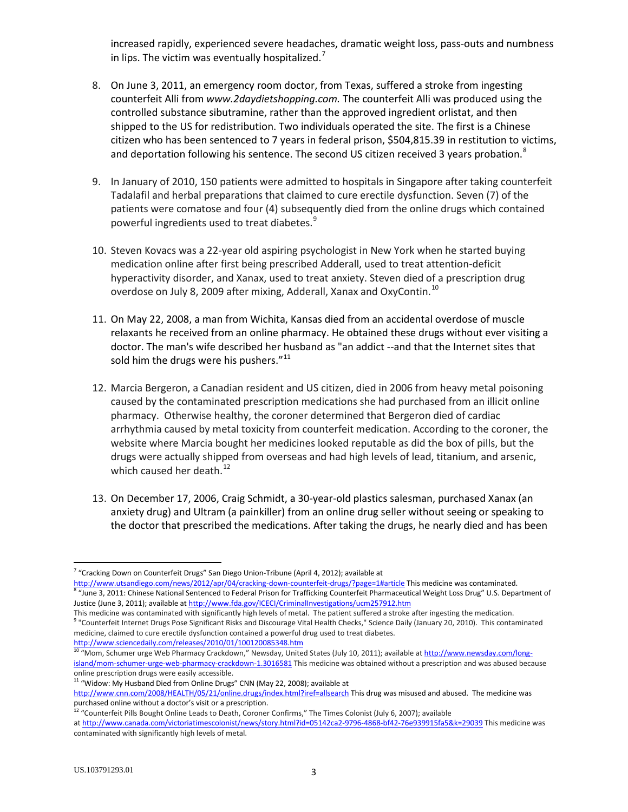increased rapidly, experienced severe headaches, dramatic weight loss, pass-outs and numbness in lips. The victim was eventually hospitalized.<sup>[7](#page-2-0)</sup>

- 8. On June 3, 2011, an emergency room doctor, from Texas, suffered a stroke from ingesting counterfeit Alli from *www.2daydietshopping.com.* The counterfeit Alli was produced using the controlled substance sibutramine, rather than the approved ingredient orlistat, and then shipped to the US for redistribution. Two individuals operated the site. The first is a Chinese citizen who has been sentenced to 7 years in federal prison, \$504,815.39 in restitution to victims, and deportation following his sentence. The second US citizen received 3 years probation.<sup>[8](#page-2-1)</sup>
- 9. In January of 2010, 150 patients were admitted to hospitals in Singapore after taking counterfeit Tadalafil and herbal preparations that claimed to cure erectile dysfunction. Seven (7) of the patients were comatose and four (4) subsequently died from the online drugs which contained powerful ingredients used to treat diabetes.<sup>[9](#page-2-2)</sup>
- 10. Steven Kovacs was a 22-year old aspiring psychologist in New York when he started buying medication online after first being prescribed Adderall, used to treat attention-deficit hyperactivity disorder, and Xanax, used to treat anxiety. Steven died of a prescription drug overdose on July 8, 2009 after mixing, Adderall, Xanax and OxyContin.<sup>[10](#page-2-3)</sup>
- 11. On May 22, 2008, a man from Wichita, Kansas died from an accidental overdose of muscle relaxants he received from an online pharmacy. He obtained these drugs without ever visiting a doctor. The man's wife described her husband as "an addict --and that the Internet sites that sold him the drugs were his pushers." $11$
- 12. Marcia Bergeron, a Canadian resident and US citizen, died in 2006 from heavy metal poisoning caused by the contaminated prescription medications she had purchased from an illicit online pharmacy. Otherwise healthy, the coroner determined that Bergeron died of cardiac arrhythmia caused by metal toxicity from counterfeit medication. According to the coroner, the website where Marcia bought her medicines looked reputable as did the box of pills, but the drugs were actually shipped from overseas and had high levels of lead, titanium, and arsenic, which caused her death.<sup>[12](#page-2-5)</sup>
- 13. On December 17, 2006, Craig Schmidt, a 30-year-old plastics salesman, purchased Xanax (an anxiety drug) and Ultram (a painkiller) from an online drug seller without seeing or speaking to the doctor that prescribed the medications. After taking the drugs, he nearly died and has been

<span id="page-2-0"></span> $7$  "Cracking Down on Counterfeit Drugs" San Diego Union-Tribune (April 4, 2012); available at <http://www.utsandiego.com/news/2012/apr/04/cracking-down-counterfeit-drugs/?page=1#article> This medicine was contaminated.<br><sup>8</sup> "June 3, 2011: Chinese National Sentenced to Federal Prison for Trafficking Counterfeit Pharmac

<span id="page-2-1"></span>Justice (June 3, 2011); available a[t http://www.fda.gov/ICECI/CriminalInvestigations/ucm257912.htm](http://www.fda.gov/ICECI/CriminalInvestigations/ucm257912.htm)

<span id="page-2-2"></span>This medicine was contaminated with significantly high levels of metal. The patient suffered a stroke after ingesting the medication.<br><sup>9</sup> "Counterfeit Internet Drugs Pose Significant Risks and Discourage Vital Health Check medicine, claimed to cure erectile dysfunction contained a powerful drug used to treat diabetes. <http://www.sciencedaily.com/releases/2010/01/100120085348.htm>

<span id="page-2-3"></span><sup>&</sup>lt;sup>10</sup> "Mom, Schumer urge Web Pharmacy Crackdown," Newsday, United States (July 10, 2011); available at [http://www.newsday.com/long](http://www.newsday.com/long-island/mom-schumer-urge-web-pharmacy-crackdown-1.3016581)[island/mom-schumer-urge-web-pharmacy-crackdown-1.3016581](http://www.newsday.com/long-island/mom-schumer-urge-web-pharmacy-crackdown-1.3016581) This medicine was obtained without a prescription and was abused because

online prescription drugs were easily accessible.

 $11$  "Widow: My Husband Died from Online Drugs" CNN (May 22, 2008); available at

<span id="page-2-4"></span><http://www.cnn.com/2008/HEALTH/05/21/online.drugs/index.html?iref=allsearch> This drug was misused and abused. The medicine was purchased online without a doctor's visit or a prescription.

<span id="page-2-5"></span><sup>&</sup>lt;sup>12</sup> "Counterfeit Pills Bought Online Leads to Death, Coroner Confirms," The Times Colonist (July 6, 2007); available

at <http://www.canada.com/victoriatimescolonist/news/story.html?id=05142ca2-9796-4868-bf42-76e939915fa5&k=29039> This medicine was contaminated with significantly high levels of metal.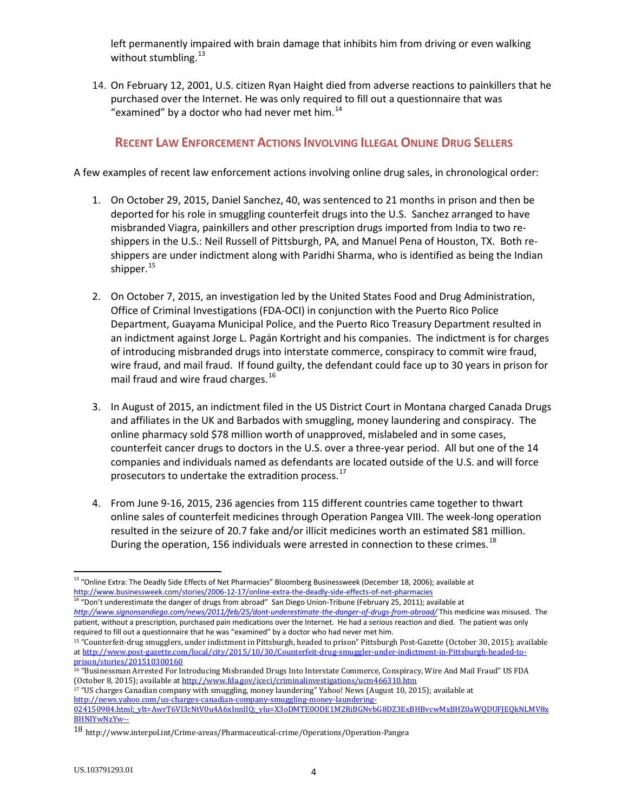left permanently impaired with brain damage that inhibits him from driving or even walking without stumbling.<sup>[13](#page-3-0)</sup>

14. On February 12, 2001, U.S. citizen Ryan Haight died from adverse reactions to painkillers that he purchased over the Internet. He was only required to fill out a questionnaire that was "examined" by a doctor who had never met him. $^{14}$  $^{14}$  $^{14}$ 

## **RECENT LAW ENFORCEMENT ACTIONS INVOLVING ILLEGAL ONLINE DRUG SELLERS**

A few examples of recent law enforcement actions involving online drug sales, in chronological order:

- 1. On October 29, 2015, Daniel Sanchez, 40, was sentenced to 21 months in prison and then be deported for his role in smuggling counterfeit drugs into the U.S. Sanchez arranged to have misbranded Viagra, painkillers and other prescription drugs imported from India to two reshippers in the U.S.: Neil Russell of Pittsburgh, PA, and Manuel Pena of Houston, TX. Both reshippers are under indictment along with Paridhi Sharma, who is identified as being the Indian shipper. $15$
- 2. On October 7, 2015, an investigation led by the United States Food and Drug Administration, Office of Criminal Investigations (FDA-OCI) in conjunction with the Puerto Rico Police Department, Guayama Municipal Police, and the Puerto Rico Treasury Department resulted in an indictment against Jorge L. Pagán Kortright and his companies. The indictment is for charges of introducing misbranded drugs into interstate commerce, conspiracy to commit wire fraud, wire fraud, and mail fraud. If found guilty, the defendant could face up to 30 years in prison for mail fraud and wire fraud charges.<sup>[16](#page-3-3)</sup>
- 3. In August of 2015, an indictment filed in the US District Court in Montana charged Canada Drugs and affiliates in the UK and Barbados with smuggling, money laundering and conspiracy. The online pharmacy sold \$78 million worth of unapproved, mislabeled and in some cases, counterfeit cancer drugs to doctors in the U.S. over a three-year period. All but one of the 14 companies and individuals named as defendants are located outside of the U.S. and will force prosecutors to undertake the extradition process.<sup>[17](#page-3-4)</sup>
- 4. From June 9-16, 2015, 236 agencies from 115 different countries came together to thwart online sales of counterfeit medicines through Operation Pangea VIII. The week-long operation resulted in the seizure of 20.7 fake and/or illicit medicines worth an estimated \$81 million. During the operation, 156 individuals were arrested in connection to these crimes.<sup>[18](#page-3-5)</sup>

<span id="page-3-4"></span><sup>17</sup> "US charges Canadian company with smuggling, money laundering" Yahoo! News (August 10, 2015); available at [http://news.yahoo.com/us-charges-canadian-company-smuggling-money-laundering-](http://news.yahoo.com/us-charges-canadian-company-smuggling-money-laundering-024150984.html;_ylt=AwrT6Vl3cNtV0u4A6xInnIlQ;_ylu=X3oDMTE0ODE1M2RiBGNvbG8DZ3ExBHBvcwMxBHZ0aWQDUFJEQkNLMV8xBHNlYwNzYw--)

<span id="page-3-0"></span><sup>&</sup>lt;sup>13</sup> "Online Extra: The Deadly Side Effects of Net Pharmacies" Bloomberg Businessweek (December 18, 2006); available at <http://www.businessweek.com/stories/2006-12-17/online-extra-the-deadly-side-effects-of-net-pharmacies>

<span id="page-3-1"></span><sup>&</sup>lt;sup>14</sup> "Don't underestimate the danger of drugs from abroad" San Diego Union-Tribune (February 25, 2011); available at *<http://www.signonsandiego.com/news/2011/feb/25/dont-underestimate-the-danger-of-drugs-from-abroad/>* This medicine was misused. The patient, without a prescription, purchased pain medications over the Internet. He had a serious reaction and died. The patient was only required to fill out a questionnaire that he was "examined" by a doctor who had never met him.

<span id="page-3-2"></span><sup>15</sup> "Counterfeit-drug smugglers, under indictment in Pittsburgh, headed to prison" Pittsburgh Post-Gazette (October 30, 2015); available a[t http://www.post-gazette.com/local/city/2015/10/30/Counterfeit-drug-smuggler-under-indictment-in-Pittsburgh-headed-to](http://www.post-gazette.com/local/city/2015/10/30/Counterfeit-drug-smuggler-under-indictment-in-Pittsburgh-headed-to-prison/stories/201510300160)[prison/stories/201510300160](http://www.post-gazette.com/local/city/2015/10/30/Counterfeit-drug-smuggler-under-indictment-in-Pittsburgh-headed-to-prison/stories/201510300160)

<span id="page-3-3"></span><sup>16</sup> "Businessman Arrested For Introducing Misbranded Drugs Into Interstate Commerce, Conspiracy, Wire And Mail Fraud" US FDA (October 8, 2015); available a[t http://www.fda.gov/iceci/criminalinvestigations/ucm466310.htm](http://www.fda.gov/iceci/criminalinvestigations/ucm466310.htm)

[<sup>024150984.</sup>html;\\_ylt=AwrT6Vl3cNtV0u4A6xInnIlQ;\\_ylu=X3oDMTE0ODE1M2RiBGNvbG8DZ3ExBHBvcwMxBHZ0aWQDUFJEQkNLMV8x](http://news.yahoo.com/us-charges-canadian-company-smuggling-money-laundering-024150984.html;_ylt=AwrT6Vl3cNtV0u4A6xInnIlQ;_ylu=X3oDMTE0ODE1M2RiBGNvbG8DZ3ExBHBvcwMxBHZ0aWQDUFJEQkNLMV8xBHNlYwNzYw--) [BHNlYwNzYw--](http://news.yahoo.com/us-charges-canadian-company-smuggling-money-laundering-024150984.html;_ylt=AwrT6Vl3cNtV0u4A6xInnIlQ;_ylu=X3oDMTE0ODE1M2RiBGNvbG8DZ3ExBHBvcwMxBHZ0aWQDUFJEQkNLMV8xBHNlYwNzYw--)

<span id="page-3-5"></span><sup>18</sup> http://www.interpol.int/Crime-areas/Pharmaceutical-crime/Operations/Operation-Pangea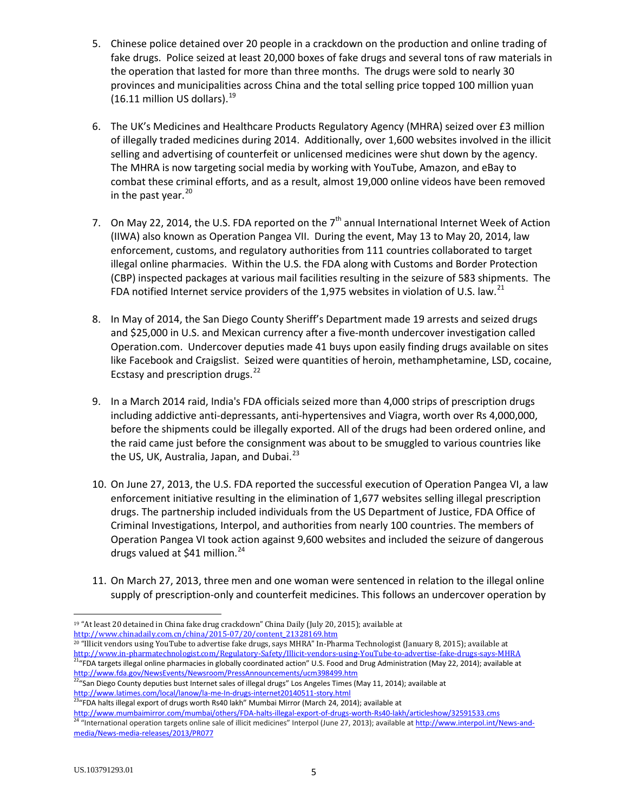- 5. Chinese police detained over 20 people in a crackdown on the production and online trading of fake drugs. Police seized at least 20,000 boxes of fake drugs and several tons of raw materials in the operation that lasted for more than three months. The drugs were sold to nearly 30 provinces and municipalities across China and the total selling price topped 100 million yuan  $(16.11$  million US dollars).<sup>[19](#page-4-0)</sup>
- 6. The UK's Medicines and Healthcare Products Regulatory Agency (MHRA) seized over £3 million of illegally traded medicines during 2014. Additionally, over 1,600 websites involved in the illicit selling and advertising of counterfeit or unlicensed medicines were shut down by the agency. The MHRA is now targeting social media by working with YouTube, Amazon, and eBay to combat these criminal efforts, and as a result, almost 19,000 online videos have been removed in the past year. $20$
- 7. On May 22, 2014, the U.S. FDA reported on the  $7<sup>th</sup>$  annual International Internet Week of Action (IIWA) also known as Operation Pangea VII. During the event, May 13 to May 20, 2014, law enforcement, customs, and regulatory authorities from 111 countries collaborated to target illegal online pharmacies. Within the U.S. the FDA along with Customs and Border Protection (CBP) inspected packages at various mail facilities resulting in the seizure of 583 shipments. The FDA notified Internet service providers of the 1,975 websites in violation of U.S. law.<sup>[21](#page-4-2)</sup>
- 8. In May of 2014, the San Diego County Sheriff's Department made 19 arrests and seized drugs and \$25,000 in U.S. and Mexican currency after a five-month undercover investigation called Operation.com. Undercover deputies made 41 buys upon easily finding drugs available on sites like Facebook and Craigslist. Seized were quantities of heroin, methamphetamine, LSD, cocaine, Ecstasy and prescription drugs.<sup>[22](#page-4-3)</sup>
- 9. In a March 2014 raid, India's FDA officials seized more than 4,000 strips of prescription drugs including addictive anti-depressants, anti-hypertensives and Viagra, worth over Rs 4,000,000, before the shipments could be illegally exported. All of the drugs had been ordered online, and the raid came just before the consignment was about to be smuggled to various countries like the US, UK, Australia, Japan, and Dubai. $^{23}$  $^{23}$  $^{23}$
- 10. On June 27, 2013, the U.S. FDA reported the successful execution of Operation Pangea VI, a law enforcement initiative resulting in the elimination of 1,677 websites selling illegal prescription drugs. The partnership included individuals from the US Department of Justice, FDA Office of Criminal Investigations, Interpol, and authorities from nearly 100 countries. The members of Operation Pangea VI took action against 9,600 websites and included the seizure of dangerous drugs valued at \$41 million.<sup>[24](#page-4-5)</sup>
- 11. On March 27, 2013, three men and one woman were sentenced in relation to the illegal online supply of prescription-only and counterfeit medicines. This follows an undercover operation by

<span id="page-4-5"></span><span id="page-4-4"></span><http://www.mumbaimirror.com/mumbai/others/FDA-halts-illegal-export-of-drugs-worth-Rs40-lakh/articleshow/32591533.cms><br><sup>24</sup> "International operation targets online sale of illicit medicines" Interpol (June 27, 2013); availab [media/News-media-releases/2013/PR077](http://www.interpol.int/News-and-media/News-media-releases/2013/PR077)

<span id="page-4-0"></span> <sup>19</sup> "At least 20 detained in China fake drug crackdown" China Daily (July 20, 2015); available at [http://www.chinadaily.com.cn/china/2015-07/20/content\\_21328169.htm](http://www.chinadaily.com.cn/china/2015-07/20/content_21328169.htm)

<span id="page-4-2"></span><span id="page-4-1"></span><sup>&</sup>lt;sup>20</sup> "Illicit vendors using YouTube to advertise fake drugs, says MHRA" In-Pharma Technologist (January 8, 2015); available at http://www.in-pharmatechnologist.com/Regulatory-Safety/Illicit-vendors-using-YouTube-to-adverti <sup>21</sup>"FDA targets illegal online pharmacies in globally coordinated action" U.S. Food and Drug Administration (May 22, 2014); available at <http://www.fda.gov/NewsEvents/Newsroom/PressAnnouncements/ucm398499.htm>

<span id="page-4-3"></span><sup>&</sup>lt;sup>22</sup>"San Diego County deputies bust Internet sales of illegal drugs" Los Angeles Times (May 11, 2014); available at [http://www.la](http://www./)times.com/local/lanow/la-me-In-drugs-internet20140511-story.html<br><sup>23</sup>"FDA halts illegal export of drugs worth Rs40 lakh" Mumbai Mirror (March 24, 2014); available at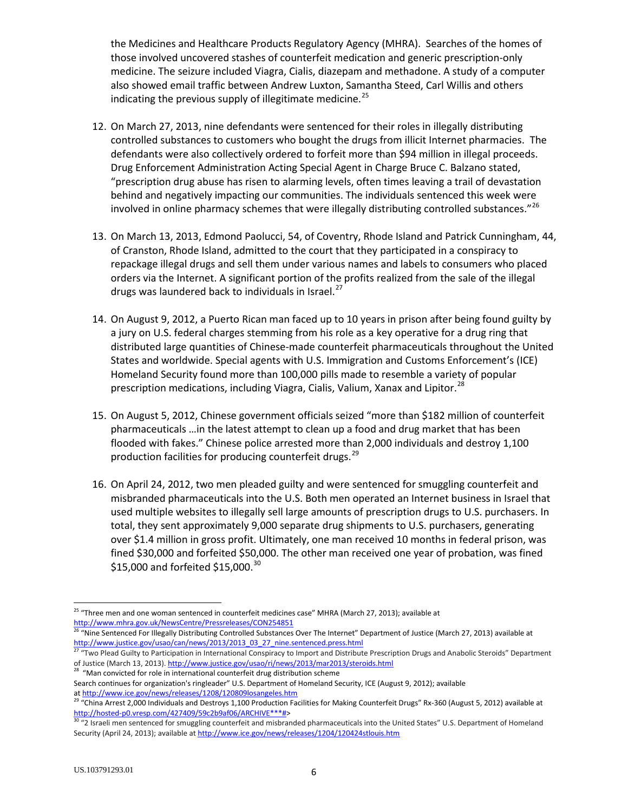the Medicines and Healthcare Products Regulatory Agency (MHRA). Searches of the homes of those involved uncovered stashes of counterfeit medication and generic prescription-only medicine. The seizure included Viagra, Cialis, diazepam and methadone. A study of a computer also showed email traffic between Andrew Luxton, Samantha Steed, Carl Willis and others indicating the previous supply of illegitimate medicine.<sup>[25](#page-5-0)</sup>

- 12. On March 27, 2013, nine defendants were sentenced for their roles in illegally distributing controlled substances to customers who bought the drugs from illicit Internet pharmacies. The defendants were also collectively ordered to forfeit more than \$94 million in illegal proceeds. Drug Enforcement Administration Acting Special Agent in Charge Bruce C. Balzano stated, "prescription drug abuse has risen to alarming levels, often times leaving a trail of devastation behind and negatively impacting our communities. The individuals sentenced this week were involved in online pharmacy schemes that were illegally distributing controlled substances."<sup>[26](#page-5-1)</sup>
- 13. On March 13, 2013, Edmond Paolucci, 54, of Coventry, Rhode Island and Patrick Cunningham, 44, of Cranston, Rhode Island, admitted to the court that they participated in a conspiracy to repackage illegal drugs and sell them under various names and labels to consumers who placed orders via the Internet. A significant portion of the profits realized from the sale of the illegal drugs was laundered back to individuals in Israel.<sup>[27](#page-5-2)</sup>
- 14. On August 9, 2012, a Puerto Rican man faced up to 10 years in prison after being found guilty by a jury on U.S. federal charges stemming from his role as a key operative for a drug ring that distributed large quantities of Chinese-made counterfeit pharmaceuticals throughout the United States and worldwide. Special agents with U.S. Immigration and Customs Enforcement's (ICE) Homeland Security found more than 100,000 pills made to resemble a variety of popular prescription medications, including Viagra, Cialis, Valium, Xanax and Lipitor.<sup>[28](#page-5-3)</sup>
- 15. On August 5, 2012, Chinese government officials seized "more than \$182 million of counterfeit pharmaceuticals …in the latest attempt to clean up a food and drug market that has been flooded with fakes." Chinese police arrested more than 2,000 individuals and destroy 1,100 production facilities for producing counterfeit drugs.<sup>[29](#page-5-4)</sup>
- 16. On April 24, 2012, two men pleaded guilty and were sentenced for smuggling counterfeit and misbranded pharmaceuticals into the U.S. Both men operated an Internet business in Israel that used multiple websites to illegally sell large amounts of prescription drugs to U.S. purchasers. In total, they sent approximately 9,000 separate drug shipments to U.S. purchasers, generating over \$1.4 million in gross profit. Ultimately, one man received 10 months in federal prison, was fined \$30,000 and forfeited \$50,000. The other man received one year of probation, was fined \$15,000 and forfeited \$15,000. $30$

<span id="page-5-0"></span><sup>&</sup>lt;sup>25</sup> "Three men and one woman sentenced in counterfeit medicines case" MHRA (March 27, 2013); available at [http://www.mhra.gov.uk/NewsCentre/Pressreleases/CON254851](http://www.google.com/url?q=http://www.mhra.gov.uk/NewsCentre/Pressreleases/CON254851&usd=2&usg=ALhdy2-crcAXl_j7MZVcbkd4dNML5KxoNA)

<span id="page-5-1"></span><sup>26</sup> "Nine Sentenced For Illegally Distributing Controlled Substances Over The Internet" Department of Justice (March 27, 2013) available at [http://www.justice.gov/usao/can/news/2013/2013\\_03\\_27\\_nine.sentenced.press.html](http://www.justice.gov/usao/can/news/2013/2013_03_27_nine.sentenced.press.html)

<span id="page-5-2"></span><sup>&</sup>lt;sup>27</sup> "Two Plead Guilty to Participation in International Conspiracy to Import and Distribute Prescription Drugs and Anabolic Steroids" Department of Justice (March 13, 2013)[. http://www.justice.gov/usao/ri/news/2013/mar2013/steroids.html](http://www.justice.gov/usao/ri/news/2013/mar2013/steroids.html) <sup>28</sup> "Man convicted for role in international counterfeit drug distribution scheme

<span id="page-5-3"></span>Search continues for organization's ringleader" U.S. Department of Homeland Security, ICE (August 9, 2012); available at http://www.ice.gov/news/releases/1208/120809losangeles.htm

<span id="page-5-4"></span><sup>&</sup>lt;sup>29</sup> "China Arrest 2,000 Individuals and Destroys 1,100 Production Facilities for Making Counterfeit Drugs" Rx-360 (August 5, 2012) available at [http://hosted-p0.vresp.com/427409/59c2b9af06/ARCHIVE\\*\\*\\*#>](http://hosted-p0.vresp.com/427409/59c2b9af06/ARCHIVE***)<br><sup>30</sup> "2 Israeli men sentenced for smuggling counterfeit and misbranded pharmaceuticals into the United States" U.S. Department of Homeland

<span id="page-5-5"></span>Security (April 24, 2013); available at <http://www.ice.gov/news/releases/1204/120424stlouis.htm>